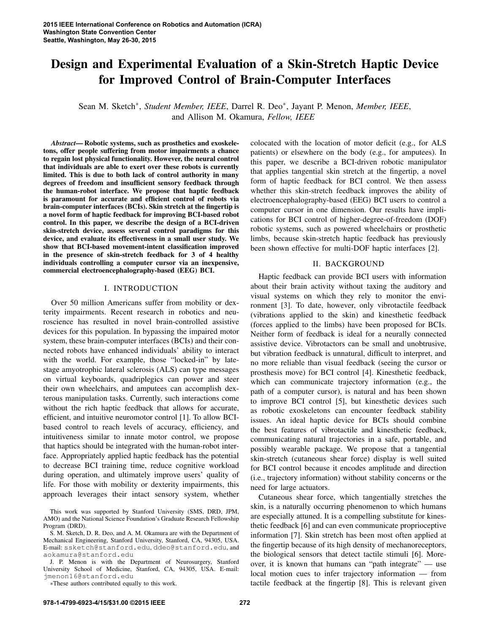# Design and Experimental Evaluation of a Skin-Stretch Haptic Device for Improved Control of Brain-Computer Interfaces

Sean M. Sketch∗, *Student Member, IEEE*, Darrel R. Deo∗, Jayant P. Menon, *Member, IEEE*, and Allison M. Okamura, *Fellow, IEEE*

*Abstract*— Robotic systems, such as prosthetics and exoskeletons, offer people suffering from motor impairments a chance to regain lost physical functionality. However, the neural control that individuals are able to exert over these robots is currently limited. This is due to both lack of control authority in many degrees of freedom and insufficient sensory feedback through the human-robot interface. We propose that haptic feedback is paramount for accurate and efficient control of robots via brain-computer interfaces (BCIs). Skin stretch at the fingertip is a novel form of haptic feedback for improving BCI-based robot control. In this paper, we describe the design of a BCI-driven skin-stretch device, assess several control paradigms for this device, and evaluate its effectiveness in a small user study. We show that BCI-based movement-intent classification improved in the presence of skin-stretch feedback for 3 of 4 healthy individuals controlling a computer cursor via an inexpensive, commercial electroencephalography-based (EEG) BCI.

#### I. INTRODUCTION

Over 50 million Americans suffer from mobility or dexterity impairments. Recent research in robotics and neuroscience has resulted in novel brain-controlled assistive devices for this population. In bypassing the impaired motor system, these brain-computer interfaces (BCIs) and their connected robots have enhanced individuals' ability to interact with the world. For example, those "locked-in" by latestage amyotrophic lateral sclerosis (ALS) can type messages on virtual keyboards, quadriplegics can power and steer their own wheelchairs, and amputees can accomplish dexterous manipulation tasks. Currently, such interactions come without the rich haptic feedback that allows for accurate, efficient, and intuitive neuromotor control [1]. To allow BCIbased control to reach levels of accuracy, efficiency, and intuitiveness similar to innate motor control, we propose that haptics should be integrated with the human-robot interface. Appropriately applied haptic feedback has the potential to decrease BCI training time, reduce cognitive workload during operation, and ultimately improve users' quality of life. For those with mobility or dexterity impairments, this approach leverages their intact sensory system, whether

This work was supported by Stanford University (SMS, DRD, JPM, AMO) and the National Science Foundation's Graduate Research Fellowship Program (DRD).

colocated with the location of motor deficit (e.g., for ALS patients) or elsewhere on the body (e.g., for amputees). In this paper, we describe a BCI-driven robotic manipulator that applies tangential skin stretch at the fingertip, a novel form of haptic feedback for BCI control. We then assess whether this skin-stretch feedback improves the ability of electroencephalography-based (EEG) BCI users to control a computer cursor in one dimension. Our results have implications for BCI control of higher-degree-of-freedom (DOF) robotic systems, such as powered wheelchairs or prosthetic limbs, because skin-stretch haptic feedback has previously been shown effective for multi-DOF haptic interfaces [2].

# II. BACKGROUND

Haptic feedback can provide BCI users with information about their brain activity without taxing the auditory and visual systems on which they rely to monitor the environment [3]. To date, however, only vibrotactile feedback (vibrations applied to the skin) and kinesthetic feedback (forces applied to the limbs) have been proposed for BCIs. Neither form of feedback is ideal for a neurally connected assistive device. Vibrotactors can be small and unobtrusive, but vibration feedback is unnatural, difficult to interpret, and no more reliable than visual feedback (seeing the cursor or prosthesis move) for BCI control [4]. Kinesthetic feedback, which can communicate trajectory information (e.g., the path of a computer cursor), is natural and has been shown to improve BCI control [5], but kinesthetic devices such as robotic exoskeletons can encounter feedback stability issues. An ideal haptic device for BCIs should combine the best features of vibrotactile and kinesthetic feedback, communicating natural trajectories in a safe, portable, and possibly wearable package. We propose that a tangential skin-stretch (cutaneous shear force) display is well suited for BCI control because it encodes amplitude and direction (i.e., trajectory information) without stability concerns or the need for large actuators.

Cutaneous shear force, which tangentially stretches the skin, is a naturally occurring phenomenon to which humans are especially attuned. It is a compelling substitute for kinesthetic feedback [6] and can even communicate proprioceptive information [7]. Skin stretch has been most often applied at the fingertip because of its high density of mechanoreceptors, the biological sensors that detect tactile stimuli [6]. Moreover, it is known that humans can "path integrate" — use local motion cues to infer trajectory information — from tactile feedback at the fingertip [8]. This is relevant given

S. M. Sketch, D. R. Deo, and A. M. Okamura are with the Department of Mechanical Engineering, Stanford University, Stanford, CA, 94305, USA. E-mail: ssketch@stanford.edu, ddeo@stanford.edu, and aokamura@stanford.edu

J. P. Menon is with the Department of Neurosurgery, Stanford University School of Medicine, Stanford, CA, 94305, USA. E-mail: jmenon16@stanford.edu

<sup>∗</sup>These authors contributed equally to this work.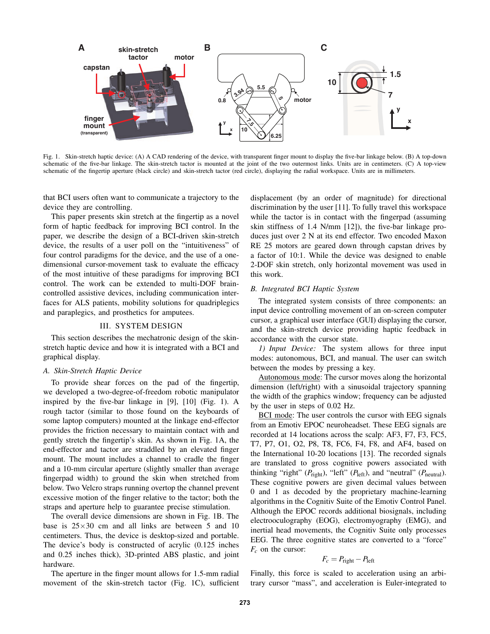

Fig. 1. Skin-stretch haptic device: (A) A CAD rendering of the device, with transparent finger mount to display the five-bar linkage below. (B) A top-down schematic of the five-bar linkage. The skin-stretch tactor is mounted at the joint of the two outermost links. Units are in centimeters. (C) A top-view schematic of the fingertip aperture (black circle) and skin-stretch tactor (red circle), displaying the radial workspace. Units are in millimeters.

that BCI users often want to communicate a trajectory to the device they are controlling.

This paper presents skin stretch at the fingertip as a novel form of haptic feedback for improving BCI control. In the paper, we describe the design of a BCI-driven skin-stretch device, the results of a user poll on the "intuitiveness" of four control paradigms for the device, and the use of a onedimensional cursor-movement task to evaluate the efficacy of the most intuitive of these paradigms for improving BCI control. The work can be extended to multi-DOF braincontrolled assistive devices, including communication interfaces for ALS patients, mobility solutions for quadriplegics and paraplegics, and prosthetics for amputees.

## III. SYSTEM DESIGN

This section describes the mechatronic design of the skinstretch haptic device and how it is integrated with a BCI and graphical display.

#### *A. Skin-Stretch Haptic Device*

To provide shear forces on the pad of the fingertip, we developed a two-degree-of-freedom robotic manipulator inspired by the five-bar linkage in [9], [10] (Fig. 1). A rough tactor (similar to those found on the keyboards of some laptop computers) mounted at the linkage end-effector provides the friction necessary to maintain contact with and gently stretch the fingertip's skin. As shown in Fig. 1A, the end-effector and tactor are straddled by an elevated finger mount. The mount includes a channel to cradle the finger and a 10-mm circular aperture (slightly smaller than average fingerpad width) to ground the skin when stretched from below. Two Velcro straps running overtop the channel prevent excessive motion of the finger relative to the tactor; both the straps and aperture help to guarantee precise stimulation.

The overall device dimensions are shown in Fig. 1B. The base is  $25\times30$  cm and all links are between 5 and 10 centimeters. Thus, the device is desktop-sized and portable. The device's body is constructed of acrylic (0.125 inches and 0.25 inches thick), 3D-printed ABS plastic, and joint hardware.

The aperture in the finger mount allows for 1.5-mm radial movement of the skin-stretch tactor (Fig. 1C), sufficient displacement (by an order of magnitude) for directional discrimination by the user [11]. To fully travel this workspace while the tactor is in contact with the fingerpad (assuming skin stiffness of 1.4 N/mm [12]), the five-bar linkage produces just over 2 N at its end effector. Two encoded Maxon RE 25 motors are geared down through capstan drives by a factor of 10:1. While the device was designed to enable 2-DOF skin stretch, only horizontal movement was used in this work.

## *B. Integrated BCI Haptic System*

The integrated system consists of three components: an input device controlling movement of an on-screen computer cursor, a graphical user interface (GUI) displaying the cursor, and the skin-stretch device providing haptic feedback in accordance with the cursor state.

*1) Input Device:* The system allows for three input modes: autonomous, BCI, and manual. The user can switch between the modes by pressing a key.

Autonomous mode: The cursor moves along the horizontal dimension (left/right) with a sinusoidal trajectory spanning the width of the graphics window; frequency can be adjusted by the user in steps of 0.02 Hz.

BCI mode: The user controls the cursor with EEG signals from an Emotiv EPOC neuroheadset. These EEG signals are recorded at 14 locations across the scalp: AF3, F7, F3, FC5, T7, P7, O1, O2, P8, T8, FC6, F4, F8, and AF4, based on the International 10-20 locations [13]. The recorded signals are translated to gross cognitive powers associated with thinking "right" ( $P_{\text{right}}$ ), "left" ( $P_{\text{left}}$ ), and "neutral" ( $P_{\text{neutral}}$ ). These cognitive powers are given decimal values between 0 and 1 as decoded by the proprietary machine-learning algorithms in the Cognitiv Suite of the Emotiv Control Panel. Although the EPOC records additional biosignals, including electrooculography (EOG), electromyography (EMG), and inertial head movements, the Cognitiv Suite only processes EEG. The three cognitive states are converted to a "force"  $F_c$  on the cursor:

$$
F_c = P_{\text{right}} - P_{\text{left}}
$$

Finally, this force is scaled to acceleration using an arbitrary cursor "mass", and acceleration is Euler-integrated to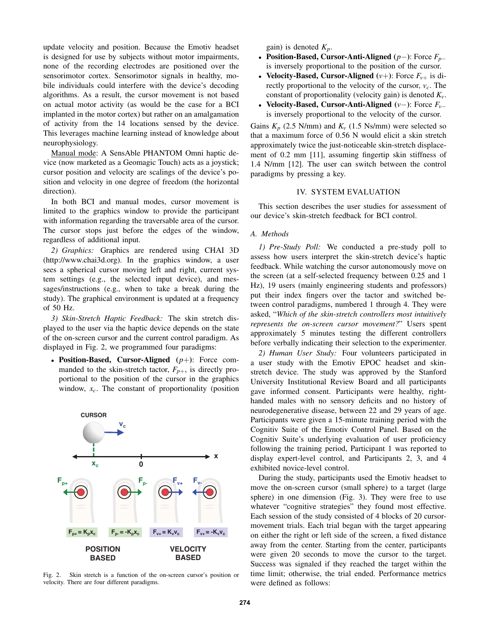update velocity and position. Because the Emotiv headset is designed for use by subjects without motor impairments, none of the recording electrodes are positioned over the sensorimotor cortex. Sensorimotor signals in healthy, mobile individuals could interfere with the device's decoding algorithms. As a result, the cursor movement is not based on actual motor activity (as would be the case for a BCI implanted in the motor cortex) but rather on an amalgamation of activity from the 14 locations sensed by the device. This leverages machine learning instead of knowledge about neurophysiology.

Manual mode: A SensAble PHANTOM Omni haptic device (now marketed as a Geomagic Touch) acts as a joystick; cursor position and velocity are scalings of the device's position and velocity in one degree of freedom (the horizontal direction).

In both BCI and manual modes, cursor movement is limited to the graphics window to provide the participant with information regarding the traversable area of the cursor. The cursor stops just before the edges of the window, regardless of additional input.

*2) Graphics:* Graphics are rendered using CHAI 3D (http://www.chai3d.org). In the graphics window, a user sees a spherical cursor moving left and right, current system settings (e.g., the selected input device), and messages/instructions (e.g., when to take a break during the study). The graphical environment is updated at a frequency of 50 Hz.

*3) Skin-Stretch Haptic Feedback:* The skin stretch displayed to the user via the haptic device depends on the state of the on-screen cursor and the current control paradigm. As displayed in Fig. 2, we programmed four paradigms:

• Position-Based, Cursor-Aligned (*p*+): Force commanded to the skin-stretch tactor,  $F_{p+}$ , is directly proportional to the position of the cursor in the graphics window, *xc*. The constant of proportionality (position



Fig. 2. Skin stretch is a function of the on-screen cursor's position or velocity. There are four different paradigms.

gain) is denoted *Kp*.

- Position-Based, Cursor-Anti-Aligned (*p*−): Force *Fp*<sup>−</sup> is inversely proportional to the position of the cursor.
- Velocity-Based, Cursor-Aligned  $(v+)$ : Force  $F_{v+}$  is directly proportional to the velocity of the cursor,  $v_c$ . The constant of proportionality (velocity gain) is denoted  $K_v$ .
- Velocity-Based, Cursor-Anti-Aligned (*v*−): Force *Fv*<sup>−</sup> is inversely proportional to the velocity of the cursor.

Gains  $K_p$  (2.5 N/mm) and  $K_v$  (1.5 Ns/mm) were selected so that a maximum force of 0.56 N would elicit a skin stretch approximately twice the just-noticeable skin-stretch displacement of 0.2 mm [11], assuming fingertip skin stiffness of 1.4 N/mm [12]. The user can switch between the control paradigms by pressing a key.

## IV. SYSTEM EVALUATION

This section describes the user studies for assessment of our device's skin-stretch feedback for BCI control.

#### *A. Methods*

*1) Pre-Study Poll:* We conducted a pre-study poll to assess how users interpret the skin-stretch device's haptic feedback. While watching the cursor autonomously move on the screen (at a self-selected frequency between 0.25 and 1 Hz), 19 users (mainly engineering students and professors) put their index fingers over the tactor and switched between control paradigms, numbered 1 through 4. They were asked, "*Which of the skin-stretch controllers most intuitively represents the on-screen cursor movement?*" Users spent approximately 5 minutes testing the different controllers before verbally indicating their selection to the experimenter.

*2) Human User Study:* Four volunteers participated in a user study with the Emotiv EPOC headset and skinstretch device. The study was approved by the Stanford University Institutional Review Board and all participants gave informed consent. Participants were healthy, righthanded males with no sensory deficits and no history of neurodegenerative disease, between 22 and 29 years of age. Participants were given a 15-minute training period with the Cognitiv Suite of the Emotiv Control Panel. Based on the Cognitiv Suite's underlying evaluation of user proficiency following the training period, Participant 1 was reported to display expert-level control, and Participants 2, 3, and 4 exhibited novice-level control.

During the study, participants used the Emotiv headset to move the on-screen cursor (small sphere) to a target (large sphere) in one dimension (Fig. 3). They were free to use whatever "cognitive strategies" they found most effective. Each session of the study consisted of 4 blocks of 20 cursormovement trials. Each trial began with the target appearing on either the right or left side of the screen, a fixed distance away from the center. Starting from the center, participants were given 20 seconds to move the cursor to the target. Success was signaled if they reached the target within the time limit; otherwise, the trial ended. Performance metrics were defined as follows: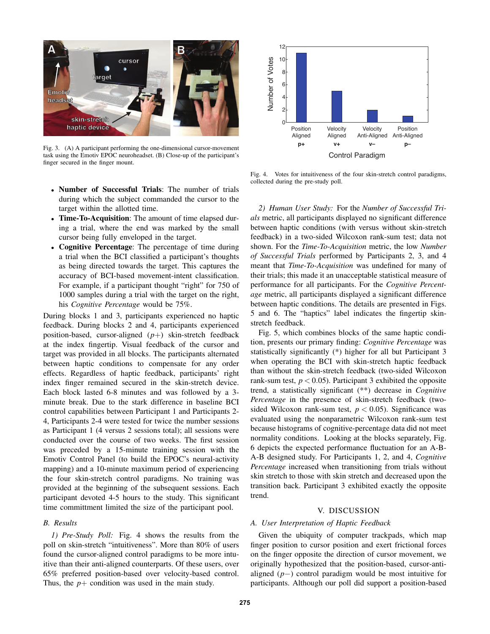

Fig. 3. (A) A participant performing the one-dimensional cursor-movement task using the Emotiv EPOC neuroheadset. (B) Close-up of the participant's finger secured in the finger mount.

- Number of Successful Trials: The number of trials during which the subject commanded the cursor to the target within the allotted time.
- Time-To-Acquisition: The amount of time elapsed during a trial, where the end was marked by the small cursor being fully enveloped in the target.
- Cognitive Percentage: The percentage of time during a trial when the BCI classified a participant's thoughts as being directed towards the target. This captures the accuracy of BCI-based movement-intent classification. For example, if a participant thought "right" for 750 of 1000 samples during a trial with the target on the right, his *Cognitive Percentage* would be 75%.

During blocks 1 and 3, participants experienced no haptic feedback. During blocks 2 and 4, participants experienced position-based, cursor-aligned (*p*+) skin-stretch feedback at the index fingertip. Visual feedback of the cursor and target was provided in all blocks. The participants alternated between haptic conditions to compensate for any order effects. Regardless of haptic feedback, participants' right index finger remained secured in the skin-stretch device. Each block lasted 6-8 minutes and was followed by a 3 minute break. Due to the stark difference in baseline BCI control capabilities between Participant 1 and Participants 2- 4, Participants 2-4 were tested for twice the number sessions as Participant 1 (4 versus 2 sessions total); all sessions were conducted over the course of two weeks. The first session was preceded by a 15-minute training session with the Emotiv Control Panel (to build the EPOC's neural-activity mapping) and a 10-minute maximum period of experiencing the four skin-stretch control paradigms. No training was provided at the beginning of the subsequent sessions. Each participant devoted 4-5 hours to the study. This significant time committment limited the size of the participant pool.

# *B. Results*

*1) Pre-Study Poll:* Fig. 4 shows the results from the poll on skin-stretch "intuitiveness". More than 80% of users found the cursor-aligned control paradigms to be more intuitive than their anti-aligned counterparts. Of these users, over 65% preferred position-based over velocity-based control. Thus, the  $p+$  condition was used in the main study.



Fig. 4. Votes for intuitiveness of the four skin-stretch control paradigms, collected during the pre-study poll.

*2) Human User Study:* For the *Number of Successful Trials* metric, all participants displayed no significant difference between haptic conditions (with versus without skin-stretch feedback) in a two-sided Wilcoxon rank-sum test; data not shown. For the *Time-To-Acquisition* metric, the low *Number of Successful Trials* performed by Participants 2, 3, and 4 meant that *Time-To-Acquisition* was undefined for many of their trials; this made it an unacceptable statistical measure of performance for all participants. For the *Cognitive Percentage* metric, all participants displayed a significant difference between haptic conditions. The details are presented in Figs. 5 and 6. The "haptics" label indicates the fingertip skinstretch feedback.

Fig. 5, which combines blocks of the same haptic condition, presents our primary finding: *Cognitive Percentage* was statistically significantly (\*) higher for all but Participant 3 when operating the BCI with skin-stretch haptic feedback than without the skin-stretch feedback (two-sided Wilcoxon rank-sum test,  $p < 0.05$ ). Participant 3 exhibited the opposite trend, a statistically significant (\*\*) decrease in *Cognitive Percentage* in the presence of skin-stretch feedback (twosided Wilcoxon rank-sum test,  $p < 0.05$ ). Significance was evaluated using the nonparametric Wilcoxon rank-sum test because histograms of cognitive-percentage data did not meet normality conditions. Looking at the blocks separately, Fig. 6 depicts the expected performance fluctuation for an A-B-A-B designed study. For Participants 1, 2, and 4, *Cognitive Percentage* increased when transitioning from trials without skin stretch to those with skin stretch and decreased upon the transition back. Participant 3 exhibited exactly the opposite trend.

# V. DISCUSSION

#### *A. User Interpretation of Haptic Feedback*

Given the ubiquity of computer trackpads, which map finger position to cursor position and exert frictional forces on the finger opposite the direction of cursor movement, we originally hypothesized that the position-based, cursor-antialigned (*p*−) control paradigm would be most intuitive for participants. Although our poll did support a position-based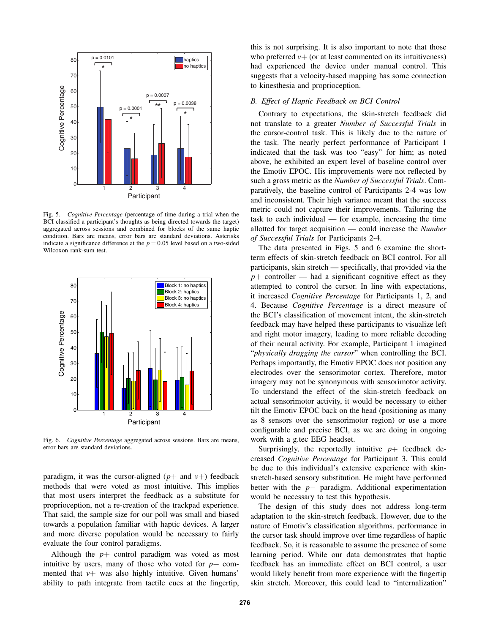

Fig. 5. *Cognitive Percentage* (percentage of time during a trial when the BCI classified a participant's thoughts as being directed towards the target) aggregated across sessions and combined for blocks of the same haptic condition. Bars are means, error bars are standard deviations. Asterisks indicate a significance difference at the  $p = 0.05$  level based on a two-sided Wilcoxon rank-sum test.



Fig. 6. *Cognitive Percentage* aggregated across sessions. Bars are means, error bars are standard deviations.

paradigm, it was the cursor-aligned  $(p+$  and  $v+)$  feedback methods that were voted as most intuitive. This implies that most users interpret the feedback as a substitute for proprioception, not a re-creation of the trackpad experience. That said, the sample size for our poll was small and biased towards a population familiar with haptic devices. A larger and more diverse population would be necessary to fairly evaluate the four control paradigms.

Although the  $p$ + control paradigm was voted as most intuitive by users, many of those who voted for  $p$ + commented that  $v+$  was also highly intuitive. Given humans' ability to path integrate from tactile cues at the fingertip,

this is not surprising. It is also important to note that those who preferred  $v+$  (or at least commented on its intuitiveness) had experienced the device under manual control. This suggests that a velocity-based mapping has some connection to kinesthesia and proprioception.

## *B. Effect of Haptic Feedback on BCI Control*

Contrary to expectations, the skin-stretch feedback did not translate to a greater *Number of Successful Trials* in the cursor-control task. This is likely due to the nature of the task. The nearly perfect performance of Participant 1 indicated that the task was too "easy" for him; as noted above, he exhibited an expert level of baseline control over the Emotiv EPOC. His improvements were not reflected by such a gross metric as the *Number of Successful Trials*. Comparatively, the baseline control of Participants 2-4 was low and inconsistent. Their high variance meant that the success metric could not capture their improvements. Tailoring the task to each individual — for example, increasing the time allotted for target acquisition — could increase the *Number of Successful Trials* for Participants 2-4.

The data presented in Figs. 5 and 6 examine the shortterm effects of skin-stretch feedback on BCI control. For all participants, skin stretch — specifically, that provided via the  $p+$  controller — had a significant cognitive effect as they attempted to control the cursor. In line with expectations, it increased *Cognitive Percentage* for Participants 1, 2, and 4. Because *Cognitive Percentage* is a direct measure of the BCI's classification of movement intent, the skin-stretch feedback may have helped these participants to visualize left and right motor imagery, leading to more reliable decoding of their neural activity. For example, Participant 1 imagined "*physically dragging the cursor*" when controlling the BCI. Perhaps importantly, the Emotiv EPOC does not position any electrodes over the sensorimotor cortex. Therefore, motor imagery may not be synonymous with sensorimotor activity. To understand the effect of the skin-stretch feedback on actual sensorimotor activity, it would be necessary to either tilt the Emotiv EPOC back on the head (positioning as many as 8 sensors over the sensorimotor region) or use a more configurable and precise BCI, as we are doing in ongoing work with a g.tec EEG headset.

Surprisingly, the reportedly intuitive  $p+$  feedback decreased *Cognitive Percentage* for Participant 3. This could be due to this individual's extensive experience with skinstretch-based sensory substitution. He might have performed better with the *p*− paradigm. Additional experimentation would be necessary to test this hypothesis.

The design of this study does not address long-term adaptation to the skin-stretch feedback. However, due to the nature of Emotiv's classification algorithms, performance in the cursor task should improve over time regardless of haptic feedback. So, it is reasonable to assume the presence of some learning period. While our data demonstrates that haptic feedback has an immediate effect on BCI control, a user would likely benefit from more experience with the fingertip skin stretch. Moreover, this could lead to "internalization"